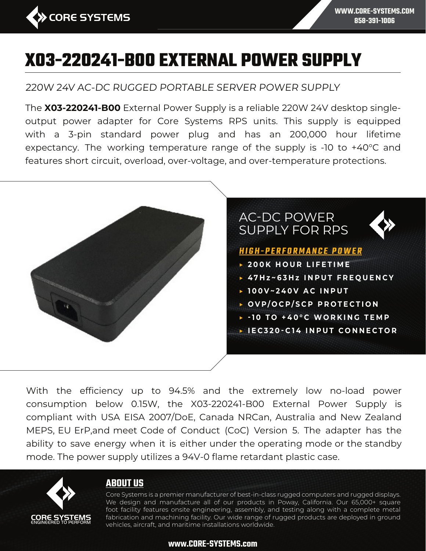

220W 24V AC-DC RUGGED PORTABLE SERVER POWER SUPPLY

The **X03-220241-B00** External Power Supply is a reliable 220W 24V desktop singleoutput power adapter for Core Systems RPS units. This supply is equipped with a 3-pin standard power plug and has an 200,000 hour lifetime expectancy. The working temperature range of the supply is -10 to +40°C and features short circuit, overload, over-voltage, and over-temperature protections.



With the efficiency up to 94.5% and the extremely low no-load power consumption below 0.15W, the X03-220241-B00 External Power Supply is compliant with USA EISA 2007/DoE, Canada NRCan, Australia and New Zealand MEPS, EU ErP,and meet Code of Conduct (CoC) Version 5. The adapter has the ability to save energy when it is either under the operating mode or the standby mode. The power supply utilizes a 94V-0 flame retardant plastic case.



# **ABOUT US**

Core Systems is a premier manufacturer of best-in-class rugged computers and rugged displays. We design and manufacture all of our products in Poway, California. Our 65,000+ square foot facility features onsite engineering, assembly, and testing along with a complete metal fabrication and machining facility. Our wide range of rugged products are deployed in ground vehicles, aircraft, and maritime installations worldwide.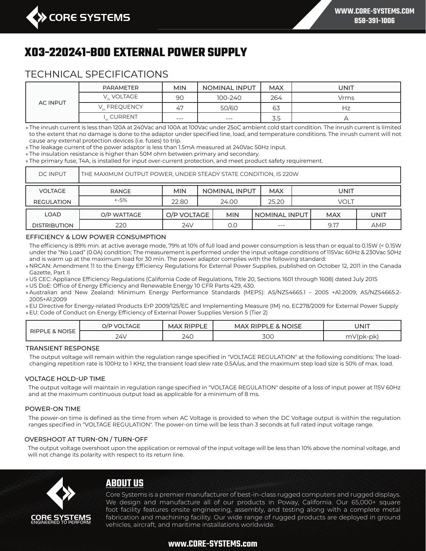

# TECHNICAL SPECIFICATIONS

| <b>AC INPUT</b> | PARAMETER    | <b>MIN</b> | <b>NOMINAL INPUT</b> | <b>MAX</b> | UNIT      |
|-----------------|--------------|------------|----------------------|------------|-----------|
|                 | V. VOLTAGE   | <b>90</b>  | 100-240              | 264        | Vrms      |
|                 | V. FREQUENCY | 47         | 50/60                | 63         | Нz        |
|                 | I. CURRENT   | $---$      | $---$                | 3.5        | $\mapsto$ |

» The inrush current is less than 120A at 240Vac and 100A at 100Vac under 25oC ambient cold start condition. The inrush current is limited to the extent that no damage is done to the adaptor under specified line, load, and temperature conditions. The inrush current will not cause any external protection devices (i.e. fuses) to trip.

» The leakage current of the power adaptor is less than 1.5mA measured at 240Vac 50Hz input.

» The insulation resistance is higher than 50M ohm between primary and secondary.

» The primary fuse, T4A, is installed for input over-current protection, and meet product safety requirement.

| <b>DC INPUT</b>     | THE MAXIMUM OUTPUT POWER, UNDER STEADY STATE CONDITION, IS 220W |             |  |                      |               |      |            |            |
|---------------------|-----------------------------------------------------------------|-------------|--|----------------------|---------------|------|------------|------------|
| <b>VOLTAGE</b>      | <b>RANGE</b>                                                    | <b>MIN</b>  |  | <b>NOMINAL INPUT</b> | <b>MAX</b>    |      | UNIT       |            |
| <b>REGULATION</b>   | $+ -5%$                                                         | 22.80       |  | 24.00                | 25.20         | VOLT |            |            |
| <b>LOAD</b>         | O/P WATTAGE                                                     | O/P VOLTAGE |  | <b>MIN</b>           | NOMINAL INPUT |      | <b>MAX</b> | UNIT       |
| <b>DISTRIBUTION</b> | 220                                                             | 24V         |  | 0.0                  | $---$         |      | 9.17       | <b>AMP</b> |

#### EFFICIENCY & LOW POWER CONSUMPTION

The efficiency is 89% min. at active average mode, 79% at 10% of full load and power consumption is less than or equal to 0.15W (< 0.15W under the "No Load" (0.0A) condition; The measurement is performed under the input voltage conditions of 115Vac 60Hz & 230Vac 50Hz and is warm up at the maximum load for 30 min. The power adaptor complies with the following standard:

» NRCAN: Amendment 11 to the Energy Efficiency Regulations for External Power Supplies, published on October 12, 2011 in the Canada Gazette, Part II

» US CEC: Appliance Efficiency Regulations (California Code of Regulations, Title 20, Sections 1601 through 1608) dated July 2015

» US DoE: Office of Energy Efficiency and Renewable Energy 10 CFR Parts 429, 430.

» Australian and New Zealand: Minimum Energy Performance Standards (MEPS): AS/NZS4665.1 – 2005 +A1:2009; AS/NZS4665.2- 2005+A1:2009

» EU Directive for Energy-related Products ErP 2009/125/EC and Implementing Measure (IM) no. EC278/2009 for External Power Supply » EU: Code of Conduct on Energy Efficiency of External Power Supplies Version 5 (Tier 2)

| <b>RIPPLE &amp; NOISE</b> | <b>VOLTAGE</b><br>O/P | <b>MAX RIPPLE</b> | <b>MAX RIPPLE &amp; NOISE</b> | UNIT                       |
|---------------------------|-----------------------|-------------------|-------------------------------|----------------------------|
|                           | 24\                   | 240               | <b>300</b>                    | $mV$ (p $K$ -<br><b>DK</b> |

#### TRANSIENT RESPONSE

The output voltage will remain within the regulation range specified in "VOLTAGE REGULATION" at the following conditions: The loadchanging repetition rate is 100Hz to 1 KHz, the transient load slew rate 0.5A/us, and the maximum step load size is 50% of max. load.

#### VOLTAGE HOLD-UP TIME

The output voltage will maintain in regulation range specified in "VOLTAGE REGULATION" despite of a loss of input power at 115V 60Hz and at the maximum continuous output load as applicable for a minimum of 8 ms.

#### POWER-ON TIME

The power-on time is defined as the time from when AC Voltage is provided to when the DC Voltage output is within the regulation ranges specified in "VOLTAGE REGULATION". The power-on time will be less than 3 seconds at full rated input voltage range.

#### OVERSHOOT AT TURN-ON / TURN-OFF

The output voltage overshoot upon the application or removal of the input voltage will be less than 10% above the nominal voltage, and will not change its polarity with respect to its return line.



# **ABOUT US**

Core Systems is a premier manufacturer of best-in-class rugged computers and rugged displays. We design and manufacture all of our products in Poway, California. Our 65,000+ square foot facility features onsite engineering, assembly, and testing along with a complete metal fabrication and machining facility. Our wide range of rugged products are deployed in ground vehicles, aircraft, and maritime installations worldwide.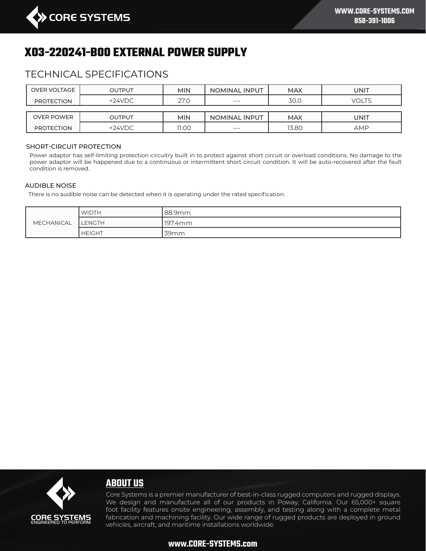

# TECHNICAL SPECIFICATIONS

| <b>OVER VOLTAGE</b> | <b>OUTPUT</b> | <b>MIN</b> | NOMINAL INPUT | <b>MAX</b> | UNIT         |
|---------------------|---------------|------------|---------------|------------|--------------|
| <b>PROTECTION</b>   | $+24VDC$      | 27.0       | $---$         | 30.0       | <b>VOLTS</b> |
|                     |               |            |               |            |              |
| <b>OVER POWER</b>   | <b>OUTPUT</b> | <b>MIN</b> | NOMINAL INPUT | <b>MAX</b> | UNIT         |
| <b>PROTECTION</b>   | $+24VDC$      | 11.00      | $---$         | 13.80      | <b>AMP</b>   |

#### SHORT-CIRCUIT PROTECTION

Power adaptor has self-limiting protection circuitry built in to protect against short circuit or overload conditions. No damage to the power adaptor will be happened due to a continuous or intermittent short circuit condition. It will be auto-recovered after the fault condition is removed.

#### AUDIBLE NOISE

There is no audible noise can be detected when it is operating under the rated specification.

| MECHANICAL | <b>WIDTH</b>  | 88.9mm  |
|------------|---------------|---------|
|            | <b>LENGTH</b> | 197.4mm |
|            | <b>HEIGHT</b> | 39mm    |



# **ABOUT US**

Core Systems is a premier manufacturer of best-in-class rugged computers and rugged displays. We design and manufacture all of our products in Poway, California. Our 65,000+ square foot facility features onsite engineering, assembly, and testing along with a complete metal fabrication and machining facility. Our wide range of rugged products are deployed in ground vehicles, aircraft, and maritime installations worldwide.